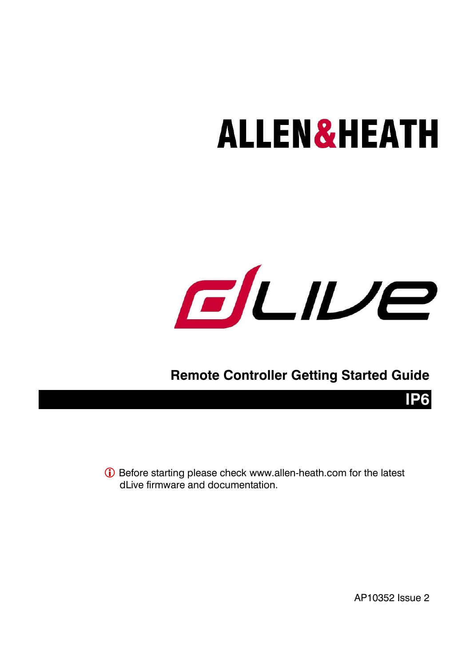# **ALLEN&HEATH**



### **Remote Controller Getting Started Guide**

 Before starting please check [www.allen-heath.com](http://www.allen-heath.com/) for the latest dl ive firmware and documentation.

AP10352 Issue 2

**IP6**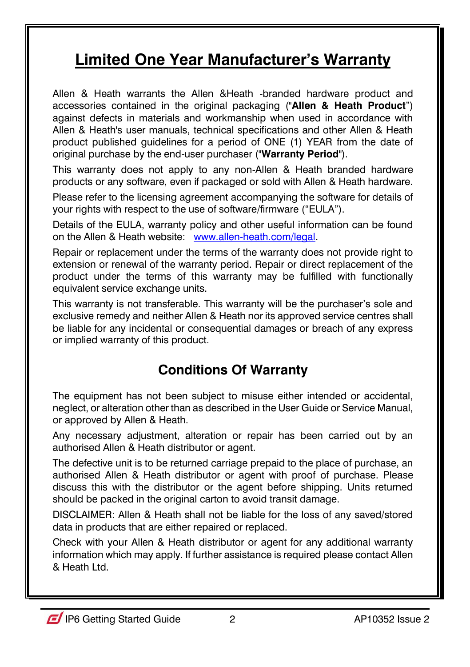### **Limited One Year Manufacturer's Warranty**

Allen & Heath warrants the Allen &Heath -branded hardware product and accessories contained in the original packaging ("**Allen & Heath Product**") against defects in materials and workmanship when used in accordance with Allen & Heath's user manuals, technical specifications and other Allen & Heath product published guidelines for a period of ONE (1) YEAR from the date of original purchase by the end-user purchaser ("**Warranty Period**").

This warranty does not apply to any non-Allen & Heath branded hardware products or any software, even if packaged or sold with Allen & Heath hardware.

Please refer to the licensing agreement accompanying the software for details of your rights with respect to the use of software/firmware ("EULA").

Details of the EULA, warranty policy and other useful information can be found on the Allen & Heath website: [www.allen-heath.com/legal.](http://www.allen-heath.com/legal)

Repair or replacement under the terms of the warranty does not provide right to extension or renewal of the warranty period. Repair or direct replacement of the product under the terms of this warranty may be fulfilled with functionally equivalent service exchange units.

This warranty is not transferable. This warranty will be the purchaser's sole and exclusive remedy and neither Allen & Heath nor its approved service centres shall be liable for any incidental or consequential damages or breach of any express or implied warranty of this product.

### **Conditions Of Warranty**

The equipment has not been subject to misuse either intended or accidental, neglect, or alteration other than as described in the User Guide or Service Manual, or approved by Allen & Heath.

Any necessary adjustment, alteration or repair has been carried out by an authorised Allen & Heath distributor or agent.

The defective unit is to be returned carriage prepaid to the place of purchase, an authorised Allen & Heath distributor or agent with proof of purchase. Please discuss this with the distributor or the agent before shipping. Units returned should be packed in the original carton to avoid transit damage.

DISCLAIMER: Allen & Heath shall not be liable for the loss of any saved/stored data in products that are either repaired or replaced.

Check with your Allen & Heath distributor or agent for any additional warranty information which may apply. If further assistance is required please contact Allen & Heath Ltd.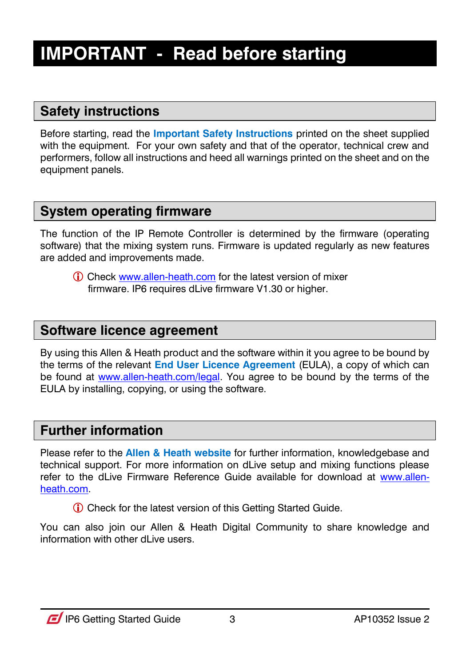### <span id="page-2-0"></span>**IMPORTANT - Read before starting**

#### **Safety instructions**

Before starting, read the **Important Safety Instructions** printed on the sheet supplied with the equipment. For your own safety and that of the operator, technical crew and performers, follow all instructions and heed all warnings printed on the sheet and on the equipment panels.

### **System operating firmware**

The function of the IP Remote Controller is determined by the firmware (operating software) that the mixing system runs. Firmware is updated regularly as new features are added and improvements made.

 Check [www.allen-heath.com](http://www.allen-heath.com/) for the latest version of mixer firmware. IP6 requires dLive firmware V1.30 or higher.

#### **Software licence agreement**

By using this Allen & Heath product and the software within it you agree to be bound by the terms of the relevant **End User Licence Agreement** (EULA), a copy of which can be found at [www.allen-heath.com/legal.](http://www.allen-heath.com/legal) You agree to be bound by the terms of the EULA by installing, copying, or using the software.

#### **Further information**

Please refer to the **Allen & Heath website** for further information, knowledgebase and technical support. For more information on dLive setup and mixing functions please refer to the dLive Firmware Reference Guide available for download at [www.allen](http://www.allen-heath.com/)[heath.com.](http://www.allen-heath.com/)

Check for the latest version of this Getting Started Guide.

You can also join our Allen & Heath Digital Community to share knowledge and information with other dLive users.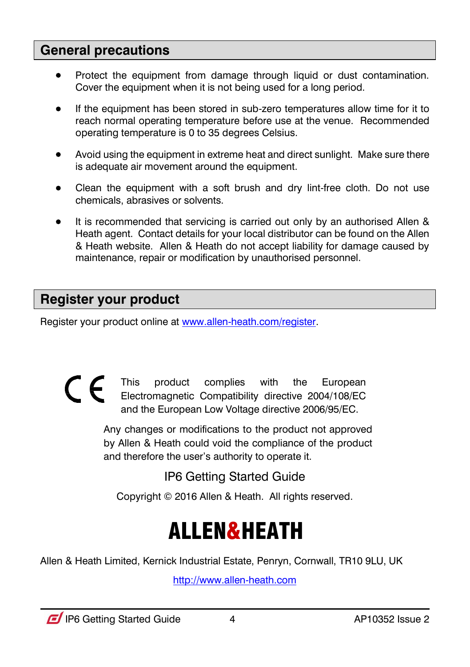#### **General precautions**

- Protect the equipment from damage through liquid or dust contamination. Cover the equipment when it is not being used for a long period.
- If the equipment has been stored in sub-zero temperatures allow time for it to reach normal operating temperature before use at the venue. Recommended operating temperature is 0 to 35 degrees Celsius.
- Avoid using the equipment in extreme heat and direct sunlight. Make sure there is adequate air movement around the equipment.
- Clean the equipment with a soft brush and dry lint-free cloth. Do not use chemicals, abrasives or solvents.
- It is recommended that servicing is carried out only by an authorised Allen & Heath agent. Contact details for your local distributor can be found on the Allen & Heath website. Allen & Heath do not accept liability for damage caused by maintenance, repair or modification by unauthorised personnel.

### **Register your product**

Register your product online a[t www.allen-heath.com/register.](http://www.allen-heath.com/register)

 $\epsilon$ This product complies with the European Electromagnetic Compatibility directive 2004/108/EC and the European Low Voltage directive 2006/95/EC.

> Any changes or modifications to the product not approved by Allen & Heath could void the compliance of the product and therefore the user's authority to operate it.

> > IP6 Getting Started Guide

Copyright © 2016 Allen & Heath. All rights reserved.

# ALLEN&HEATH

Allen & Heath Limited, Kernick Industrial Estate, Penryn, Cornwall, TR10 9LU, UK

[http://www.allen-heath.com](http://www.allen-heath.com/)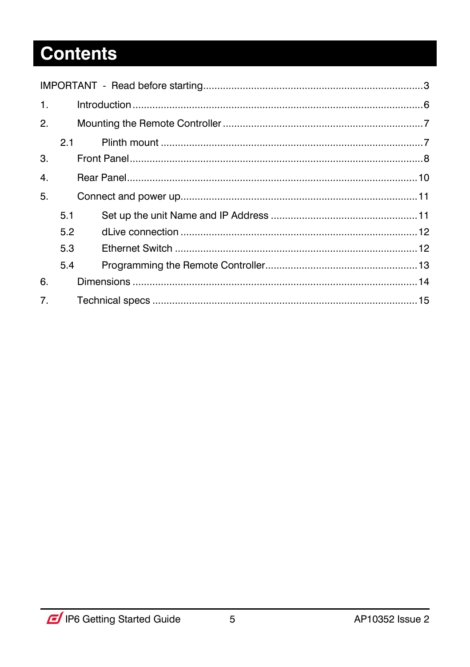## **Contents**

<span id="page-4-0"></span>

| $\mathbf{1}$ . |     |     |  |
|----------------|-----|-----|--|
| 2.             |     |     |  |
|                |     | 2.1 |  |
| 3.             |     |     |  |
| 4.             |     |     |  |
| 5.             |     |     |  |
|                | 5.1 |     |  |
|                | 5.2 |     |  |
|                | 5.3 |     |  |
|                | 5.4 |     |  |
| 6.             |     |     |  |
| 7 <sub>1</sub> |     |     |  |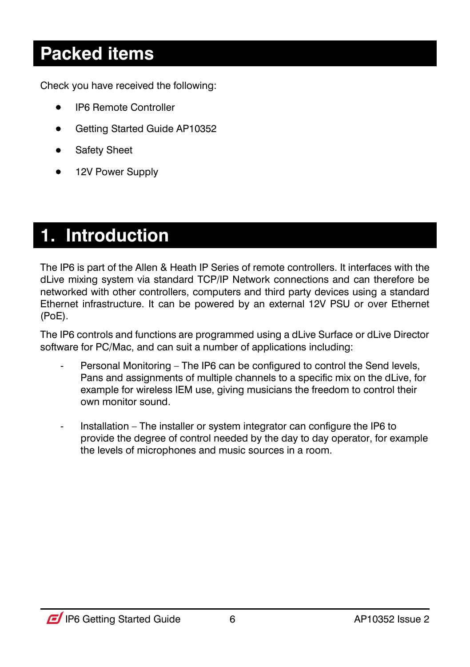### **Packed items**

Check you have received the following:

- IP6 Remote Controller
- Getting Started Guide AP10352
- **•** Safety Sheet
- 12V Power Supply

### **1. Introduction**

The IP6 is part of the Allen & Heath IP Series of remote controllers. It interfaces with the dLive mixing system via standard TCP/IP Network connections and can therefore be networked with other controllers, computers and third party devices using a standard Ethernet infrastructure. It can be powered by an external 12V PSU or over Ethernet (PoE).

The IP6 controls and functions are programmed using a dLive Surface or dLive Director software for PC/Mac, and can suit a number of applications including:

- Personal Monitoring The IP6 can be configured to control the Send levels, Pans and assignments of multiple channels to a specific mix on the dLive, for example for wireless IEM use, giving musicians the freedom to control their own monitor sound.
- Installation The installer or system integrator can configure the IP6 to provide the degree of control needed by the day to day operator, for example the levels of microphones and music sources in a room.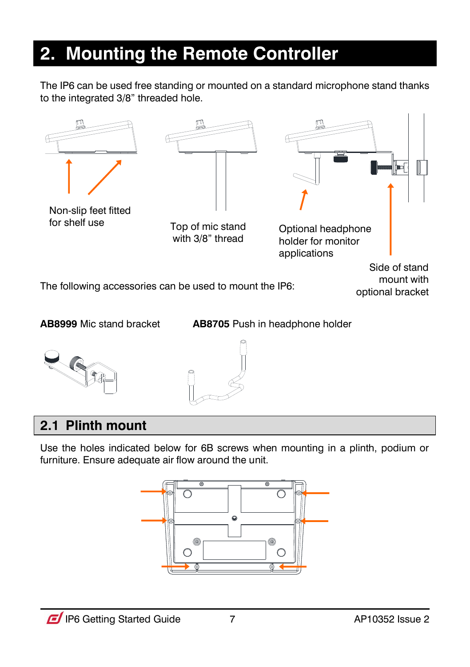### <span id="page-6-0"></span>**2. Mounting the Remote Controller**

The IP6 can be used free standing or mounted on a standard microphone stand thanks to the integrated 3/8" threaded hole.



**AB8999** Mic stand bracket **AB8705** Push in headphone holder





### <span id="page-6-1"></span>**2.1 Plinth mount**

Use the holes indicated below for 6B screws when mounting in a plinth, podium or furniture. Ensure adequate air flow around the unit.

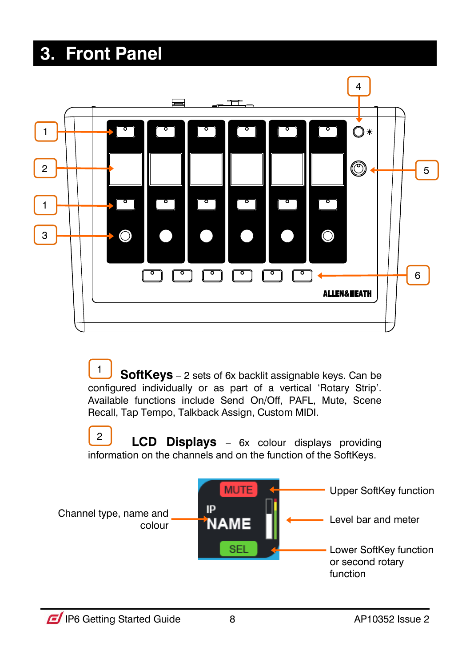### <span id="page-7-0"></span>**3. Front Panel**



 **SoftKeys** – 2 sets of 6x backlit assignable keys. Can be configured individually or as part of a vertical 'Rotary Strip'. Available functions include Send On/Off, PAFL, Mute, Scene Recall, Tap Tempo, Talkback Assign, Custom MIDI. 1

 **LCD Displays** – 6x colour displays providing information on the channels and on the function of the SoftKeys. 2

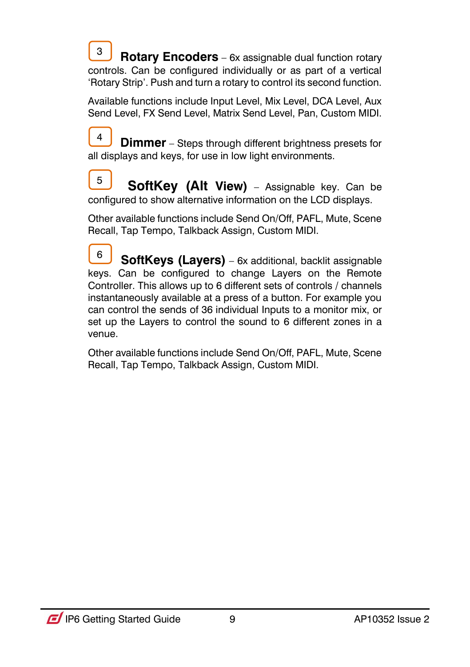**Rotary Encoders** – 6x assignable dual function rotary controls. Can be configured individually or as part of a vertical 'Rotary Strip'. Push and turn a rotary to control its second function. 3

Available functions include Input Level, Mix Level, DCA Level, Aux Send Level, FX Send Level, Matrix Send Level, Pan, Custom MIDI.

**Dimmer** – Steps through different brightness presets for all displays and keys, for use in low light environments. 4

 **SoftKey (Alt View)** – Assignable key. Can be configured to show alternative information on the LCD displays. 5

Other available functions include Send On/Off, PAFL, Mute, Scene Recall, Tap Tempo, Talkback Assign, Custom MIDI.

 **SoftKeys (Layers)** – 6x additional, backlit assignable keys. Can be configured to change Layers on the Remote Controller. This allows up to 6 different sets of controls / channels instantaneously available at a press of a button. For example you can control the sends of 36 individual Inputs to a monitor mix, or set up the Layers to control the sound to 6 different zones in a venue. 6

<span id="page-8-0"></span>Other available functions include Send On/Off, PAFL, Mute, Scene Recall, Tap Tempo, Talkback Assign, Custom MIDI.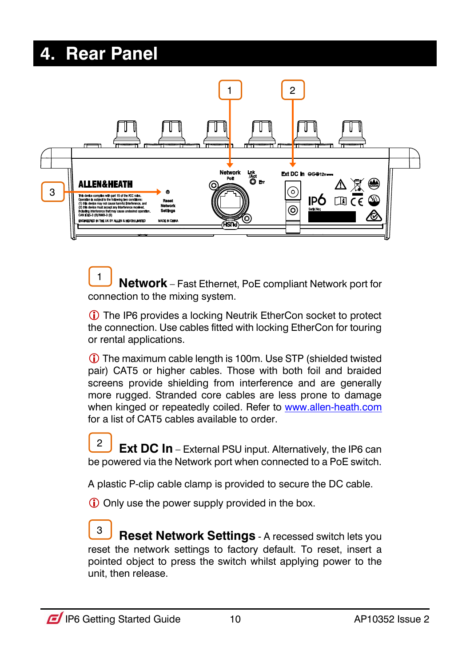### **4. Rear Panel**



 **Network** – Fast Ethernet, PoE compliant Network port for connection to the mixing system. 1

 The IP6 provides a locking Neutrik EtherCon socket to protect the connection. Use cables fitted with locking EtherCon for touring or rental applications.

 The maximum cable length is 100m. Use STP (shielded twisted pair) CAT5 or higher cables. Those with both foil and braided screens provide shielding from interference and are generally more rugged. Stranded core cables are less prone to damage when kinged or repeatedly coiled. Refer to [www.allen-heath.com](http://www.allen-heath.com/) for a list of CAT5 cables available to order

**Ext DC In** – External PSU input. Alternatively, the IP6 can be powered via the Network port when connected to a PoE switch.  $\mathfrak{p}$ 

A plastic P-clip cable clamp is provided to secure the DC cable.

Only use the power supply provided in the box.

**Reset Network Settings** - A recessed switch lets you reset the network settings to factory default. To reset, insert a pointed object to press the switch whilst applying power to the unit, then release. 3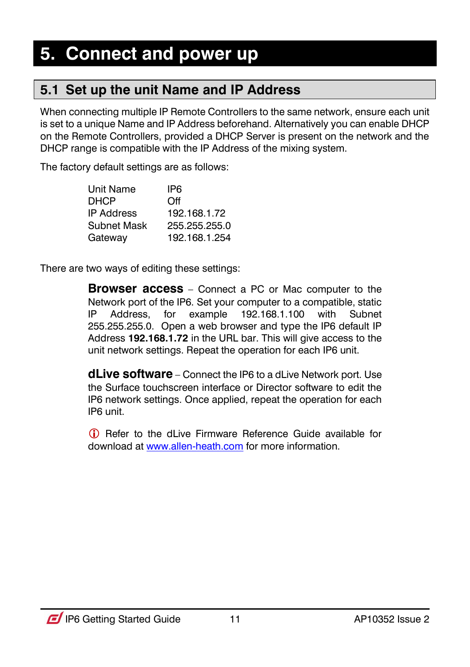### <span id="page-10-1"></span><span id="page-10-0"></span>**5.1 Set up the unit Name and IP Address**

When connecting multiple IP Remote Controllers to the same network, ensure each unit is set to a unique Name and IP Address beforehand. Alternatively you can enable DHCP on the Remote Controllers, provided a DHCP Server is present on the network and the DHCP range is compatible with the IP Address of the mixing system.

The factory default settings are as follows:

| Unit Name         | IP6           |
|-------------------|---------------|
| DHCP              | Off           |
| <b>IP Address</b> | 192.168.1.72  |
| Subnet Mask       | 255.255.255.0 |
| Gateway           | 192.168.1.254 |

There are two ways of editing these settings:

**Browser access** – Connect a PC or Mac computer to the Network port of the IP6. Set your computer to a compatible, static IP Address, for example 192.168.1.100 with Subnet 255.255.255.0. Open a web browser and type the IP6 default IP Address **192.168.1.72** in the URL bar. This will give access to the unit network settings. Repeat the operation for each IP6 unit.

**dLive software** – Connect the IP6 to a dLive Network port. Use the Surface touchscreen interface or Director software to edit the IP6 network settings. Once applied, repeat the operation for each IP6 unit.

<span id="page-10-2"></span> Refer to the dLive Firmware Reference Guide available for download a[t www.allen-heath.com](http://www.allen-heath.com/) for more information.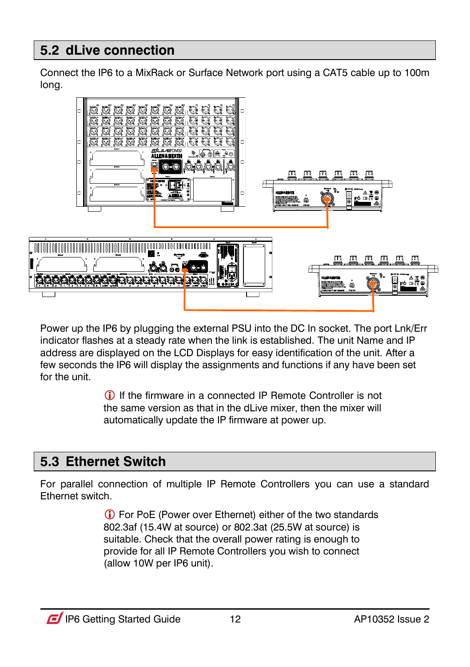### **5.2 dLive connection**

Connect the IP6 to a MixRack or Surface Network port using a CAT5 cable up to 100m long.



Power up the IP6 by plugging the external PSU into the DC In socket. The port Lnk/Err indicator flashes at a steady rate when the link is established. The unit Name and IP address are displayed on the LCD Displays for easy identification of the unit. After a few seconds the IP6 will display the assignments and functions if any have been set for the unit.

> If the firmware in a connected IP Remote Controller is not the same version as that in the dLive mixer, then the mixer will automatically update the IP firmware at power up.

### <span id="page-11-0"></span>**5.3 Ethernet Switch**

For parallel connection of multiple IP Remote Controllers you can use a standard Ethernet switch.

> For PoE (Power over Ethernet) either of the two standards 802.3af (15.4W at source) or 802.3at (25.5W at source) is suitable. Check that the overall power rating is enough to provide for all IP Remote Controllers you wish to connect (allow 10W per IP6 unit).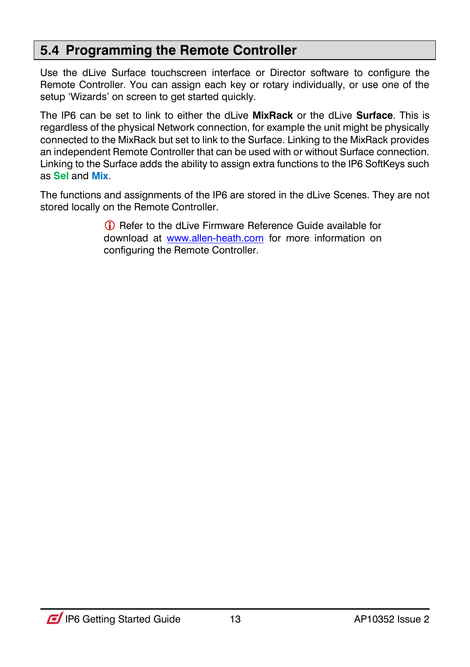#### <span id="page-12-0"></span>**5.4 Programming the Remote Controller**

Use the dLive Surface touchscreen interface or Director software to configure the Remote Controller. You can assign each key or rotary individually, or use one of the setup 'Wizards' on screen to get started quickly.

The IP6 can be set to link to either the dLive **MixRack** or the dLive **Surface**. This is regardless of the physical Network connection, for example the unit might be physically connected to the MixRack but set to link to the Surface. Linking to the MixRack provides an independent Remote Controller that can be used with or without Surface connection. Linking to the Surface adds the ability to assign extra functions to the IP6 SoftKeys such as **Sel** and **Mix**.

The functions and assignments of the IP6 are stored in the dLive Scenes. They are not stored locally on the Remote Controller.

> Refer to the dLive Firmware Reference Guide available for download at [www.allen-heath.com](http://www.allen-heath.com/) for more information on configuring the Remote Controller.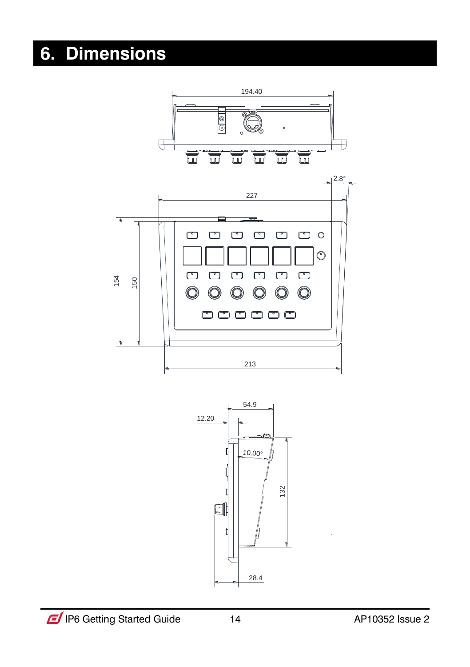### <span id="page-13-0"></span>**6. Dimensions**

<span id="page-13-1"></span>